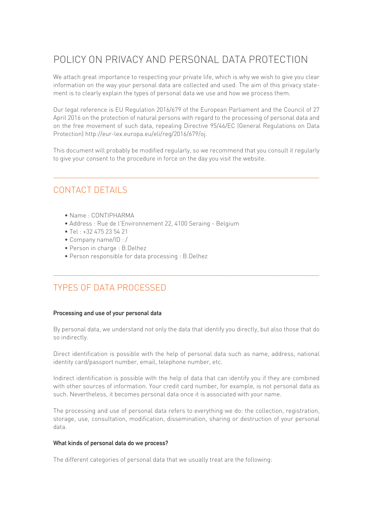# POLICY ON PRIVACY AND PERSONAL DATA PROTECTION

We attach great importance to respecting your private life, which is why we wish to give you clear information on the way your personal data are collected and used. The aim of this privacy statement is to clearly explain the types of personal data we use and how we process them.

Our legal reference is EU Regulation 2016/679 of the European Parliament and the Council of 27 April 2016 on the protection of natural persons with regard to the processing of personal data and on the free movement of such data, repealing Directive 95/46/EC (General Regulations on Data Protection) http://eur-lex.europa.eu/eli/reg/2016/679/oj.

This document will probably be modified regularly, so we recommend that you consult it regularly to give your consent to the procedure in force on the day you visit the website.

 $\frac{1}{2}$  ,  $\frac{1}{2}$  ,  $\frac{1}{2}$  ,  $\frac{1}{2}$  ,  $\frac{1}{2}$  ,  $\frac{1}{2}$  ,  $\frac{1}{2}$  ,  $\frac{1}{2}$  ,  $\frac{1}{2}$  ,  $\frac{1}{2}$  ,  $\frac{1}{2}$  ,  $\frac{1}{2}$  ,  $\frac{1}{2}$  ,  $\frac{1}{2}$  ,  $\frac{1}{2}$  ,  $\frac{1}{2}$  ,  $\frac{1}{2}$  ,  $\frac{1}{2}$  ,  $\frac{1$ 

# CONTACT DETAILS

- Name : CONTIPHARMA
- Address : Rue de l'Environnement 22, 4100 Seraing Belgium
- Tel : +32 475 23 54 21
- Company name/ID : /
- Person in charge : B.Delhez
- Person responsible for data processing : B.Delhez

# TYPES OF DATA PROCESSED

### Processing and use of your personal data

By personal data, we understand not only the data that identify you directly, but also those that do so indirectly.

 $\frac{1}{2}$  ,  $\frac{1}{2}$  ,  $\frac{1}{2}$  ,  $\frac{1}{2}$  ,  $\frac{1}{2}$  ,  $\frac{1}{2}$  ,  $\frac{1}{2}$  ,  $\frac{1}{2}$  ,  $\frac{1}{2}$  ,  $\frac{1}{2}$  ,  $\frac{1}{2}$  ,  $\frac{1}{2}$  ,  $\frac{1}{2}$  ,  $\frac{1}{2}$  ,  $\frac{1}{2}$  ,  $\frac{1}{2}$  ,  $\frac{1}{2}$  ,  $\frac{1}{2}$  ,  $\frac{1$ 

Direct identification is possible with the help of personal data such as name, address, national identity card/passport number, email, telephone number, etc.

Indirect identification is possible with the help of data that can identify you if they are combined with other sources of information. Your credit card number, for example, is not personal data as such. Nevertheless, it becomes personal data once it is associated with your name.

The processing and use of personal data refers to everything we do: the collection, registration, storage, use, consultation, modification, dissemination, sharing or destruction of your personal data.

### What kinds of personal data do we process?

The different categories of personal data that we usually treat are the following: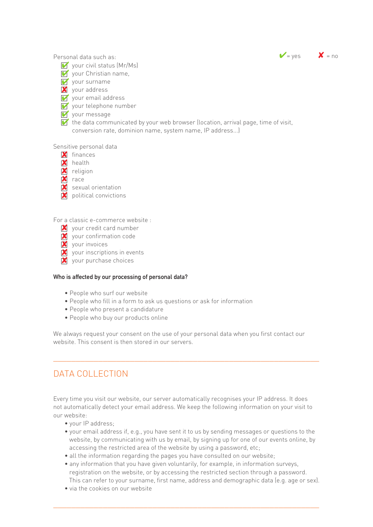

Personal data such as:

- Your civil status (Mr/Ms)
	- Vour Christian name,
	- $\overline{V}$  your surname
	- your address 8
	- Vour email address
	- V your telephone number
	- Vour message
	- $\blacktriangleright$  the data communicated by your web browser (location, arrival page, time of visit, conversion rate, dominion name, system name, IP address...)

#### Sensitive personal data

- $\blacksquare$  finances
- **X** health
- **X** religion
- $\mathsf{X}$  race
- Sexual orientation
- $\overline{\mathbf{X}}$  political convictions

For a classic e-commerce website :

- Y your credit card number
- $\overline{\mathbf{X}}$  your confirmation code
- your invoices 8
- your inscriptions in events 8
- **X** your purchase choices

### Who is affected by our processing of personal data?

- People who surf our website
- People who fill in a form to ask us questions or ask for information
- People who present a candidature
- People who buy our products online

We always request your consent on the use of your personal data when you first contact our website. This consent is then stored in our servers.

 $\frac{1}{2}$  ,  $\frac{1}{2}$  ,  $\frac{1}{2}$  ,  $\frac{1}{2}$  ,  $\frac{1}{2}$  ,  $\frac{1}{2}$  ,  $\frac{1}{2}$  ,  $\frac{1}{2}$  ,  $\frac{1}{2}$  ,  $\frac{1}{2}$  ,  $\frac{1}{2}$  ,  $\frac{1}{2}$  ,  $\frac{1}{2}$  ,  $\frac{1}{2}$  ,  $\frac{1}{2}$  ,  $\frac{1}{2}$  ,  $\frac{1}{2}$  ,  $\frac{1}{2}$  ,  $\frac{1$ 

# DATA COLLECTION

Every time you visit our website, our server automatically recognises your IP address. It does not automatically detect your email address. We keep the following information on your visit to our website:

- your IP address;
- your email address if, e.g., you have sent it to us by sending messages or questions to the website, by communicating with us by email, by signing up for one of our events online, by accessing the restricted area of the website by using a password, etc;
- all the information regarding the pages you have consulted on our website;
- any information that you have given voluntarily, for example, in information surveys, registration on the website, or by accessing the restricted section through a password. This can refer to your surname, first name, address and demographic data (e.g. age or sex).

 $\frac{1}{2}$  ,  $\frac{1}{2}$  ,  $\frac{1}{2}$  ,  $\frac{1}{2}$  ,  $\frac{1}{2}$  ,  $\frac{1}{2}$  ,  $\frac{1}{2}$  ,  $\frac{1}{2}$  ,  $\frac{1}{2}$  ,  $\frac{1}{2}$  ,  $\frac{1}{2}$  ,  $\frac{1}{2}$  ,  $\frac{1}{2}$  ,  $\frac{1}{2}$  ,  $\frac{1}{2}$  ,  $\frac{1}{2}$  ,  $\frac{1}{2}$  ,  $\frac{1}{2}$  ,  $\frac{1$ 

 • via the cookies on our website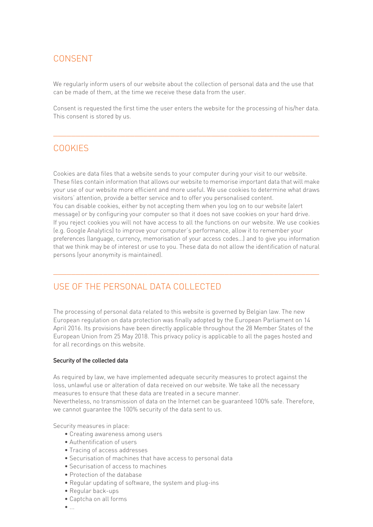# CONSENT

We regularly inform users of our website about the collection of personal data and the use that can be made of them, at the time we receive these data from the user.

Consent is requested the first time the user enters the website for the processing of his/her data. This consent is stored by us.

 $\frac{1}{2}$  ,  $\frac{1}{2}$  ,  $\frac{1}{2}$  ,  $\frac{1}{2}$  ,  $\frac{1}{2}$  ,  $\frac{1}{2}$  ,  $\frac{1}{2}$  ,  $\frac{1}{2}$  ,  $\frac{1}{2}$  ,  $\frac{1}{2}$  ,  $\frac{1}{2}$  ,  $\frac{1}{2}$  ,  $\frac{1}{2}$  ,  $\frac{1}{2}$  ,  $\frac{1}{2}$  ,  $\frac{1}{2}$  ,  $\frac{1}{2}$  ,  $\frac{1}{2}$  ,  $\frac{1$ 

### COOKIES

Cookies are data files that a website sends to your computer during your visit to our website. These files contain information that allows our website to memorise important data that will make your use of our website more efficient and more useful. We use cookies to determine what draws visitors' attention, provide a better service and to offer you personalised content. You can disable cookies, either by not accepting them when you log on to our website (alert message) or by configuring your computer so that it does not save cookies on your hard drive. If you reject cookies you will not have access to all the functions on our website. We use cookies (e.g. Google Analytics) to improve your computer's performance, allow it to remember your preferences (language, currency, memorisation of your access codes...) and to give you information that we think may be of interest or use to you. These data do not allow the identification of natural persons (your anonymity is maintained).

 $\frac{1}{2}$  ,  $\frac{1}{2}$  ,  $\frac{1}{2}$  ,  $\frac{1}{2}$  ,  $\frac{1}{2}$  ,  $\frac{1}{2}$  ,  $\frac{1}{2}$  ,  $\frac{1}{2}$  ,  $\frac{1}{2}$  ,  $\frac{1}{2}$  ,  $\frac{1}{2}$  ,  $\frac{1}{2}$  ,  $\frac{1}{2}$  ,  $\frac{1}{2}$  ,  $\frac{1}{2}$  ,  $\frac{1}{2}$  ,  $\frac{1}{2}$  ,  $\frac{1}{2}$  ,  $\frac{1$ 

# USE OF THE PERSONAL DATA COLLECTED

The processing of personal data related to this website is governed by Belgian law. The new European regulation on data protection was finally adopted by the European Parliament on 14 April 2016. Its provisions have been directly applicable throughout the 28 Member States of the European Union from 25 May 2018. This privacy policy is applicable to all the pages hosted and for all recordings on this website.

### Security of the collected data

As required by law, we have implemented adequate security measures to protect against the loss, unlawful use or alteration of data received on our website. We take all the necessary measures to ensure that these data are treated in a secure manner.

Nevertheless, no transmission of data on the Internet can be guaranteed 100% safe. Therefore, we cannot guarantee the 100% security of the data sent to us.

Security measures in place:

- Creating awareness among users
- Authentification of users
- Tracing of access addresses
- Securisation of machines that have access to personal data
- Securisation of access to machines
- Protection of the database
- Regular updating of software, the system and plug-ins
- Regular back-ups
- Captcha on all forms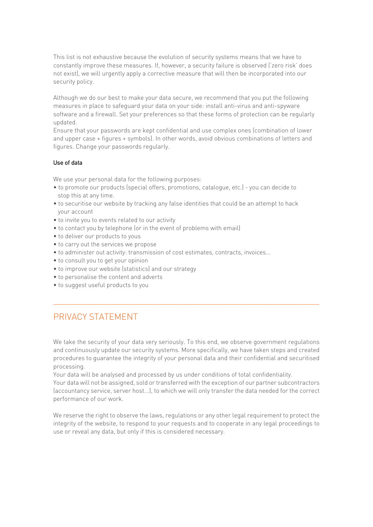This list is not exhaustive because the evolution of security systems means that we have to constantly improve these measures. If, however, a security failure is observed ('zero risk' does not exist), we will urgently apply a corrective measure that will then be incorporated into our security policy.

Although we do our best to make your data secure, we recommend that you put the following measures in place to safeguard your data on your side: install anti-virus and anti-spyware software and a firewall. Set your preferences so that these forms of protection can be regularly updated.

Ensure that your passwords are kept confidential and use complex ones (combination of lower and upper case + figures + symbols). In other words, avoid obvious combinations of letters and figures. Change your passwords regularly.

### Use of data

We use your personal data for the following purposes:

- to promote our products (special offers, promotions, catalogue, etc.) you can decide to stop this at any time.
- to securitise our website by tracking any false identities that could be an attempt to hack your account
- to invite you to events related to our activity
- to contact you by telephone (or in the event of problems with email)
- to deliver our products to yous
- to carry out the services we propose
- to administer out activity: transmission of cost estimates, contracts, invoices...
- to consult you to get your opinion
- to improve our website (statistics) and our strategy
- to personalise the content and adverts
- to suggest useful products to you

# PRIVACY STATEMENT

We take the security of your data very seriously. To this end, we observe government regulations and continuously update our security systems. More specifically, we have taken steps and created procedures to guarantee the integrity of your personal data and their confidential and securitised processing.

 $\frac{1}{2}$  ,  $\frac{1}{2}$  ,  $\frac{1}{2}$  ,  $\frac{1}{2}$  ,  $\frac{1}{2}$  ,  $\frac{1}{2}$  ,  $\frac{1}{2}$  ,  $\frac{1}{2}$  ,  $\frac{1}{2}$  ,  $\frac{1}{2}$  ,  $\frac{1}{2}$  ,  $\frac{1}{2}$  ,  $\frac{1}{2}$  ,  $\frac{1}{2}$  ,  $\frac{1}{2}$  ,  $\frac{1}{2}$  ,  $\frac{1}{2}$  ,  $\frac{1}{2}$  ,  $\frac{1$ 

Your data will be analysed and processed by us under conditions of total confidentiality.

Your data will not be assigned, sold or transferred with the exception of our partner subcontractors (accountancy service, server host...), to which we will only transfer the data needed for the correct performance of our work.

We reserve the right to observe the laws, regulations or any other legal requirement to protect the integrity of the website, to respond to your requests and to cooperate in any legal proceedings to use or reveal any data, but only if this is considered necessary.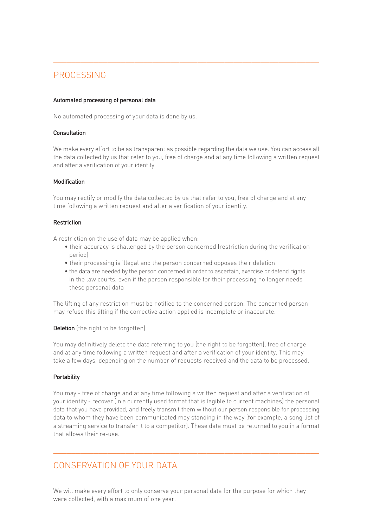# PROCESSING

### Automated processing of personal data

No automated processing of your data is done by us.

### **Consultation**

We make every effort to be as transparent as possible regarding the data we use. You can access all the data collected by us that refer to you, free of charge and at any time following a written request and after a verification of your identity

 $\frac{1}{2}$  ,  $\frac{1}{2}$  ,  $\frac{1}{2}$  ,  $\frac{1}{2}$  ,  $\frac{1}{2}$  ,  $\frac{1}{2}$  ,  $\frac{1}{2}$  ,  $\frac{1}{2}$  ,  $\frac{1}{2}$  ,  $\frac{1}{2}$  ,  $\frac{1}{2}$  ,  $\frac{1}{2}$  ,  $\frac{1}{2}$  ,  $\frac{1}{2}$  ,  $\frac{1}{2}$  ,  $\frac{1}{2}$  ,  $\frac{1}{2}$  ,  $\frac{1}{2}$  ,  $\frac{1$ 

### Modification

You may rectify or modify the data collected by us that refer to you, free of charge and at any time following a written request and after a verification of your identity.

### Restriction

A restriction on the use of data may be applied when:

- their accuracy is challenged by the person concerned (restriction during the verification period)
- their processing is illegal and the person concerned opposes their deletion
- the data are needed by the person concerned in order to ascertain, exercise or defend rights in the law courts, even if the person responsible for their processing no longer needs these personal data

The lifting of any restriction must be notified to the concerned person. The concerned person may refuse this lifting if the corrective action applied is incomplete or inaccurate.

Deletion (the right to be forgotten)

You may definitively delete the data referring to you (the right to be forgotten), free of charge and at any time following a written request and after a verification of your identity. This may take a few days, depending on the number of requests received and the data to be processed.

### **Portability**

You may - free of charge and at any time following a written request and after a verification of your identity - recover (in a currently used format that is legible to current machines) the personal data that you have provided, and freely transmit them without our person responsible for processing data to whom they have been communicated may standing in the way (for example, a song list of a streaming service to transfer it to a competitor). These data must be returned to you in a format that allows their re-use.

 $\overline{a_1}$  ,  $\overline{a_2}$  ,  $\overline{a_3}$  ,  $\overline{a_4}$  ,  $\overline{a_5}$  ,  $\overline{a_6}$  ,  $\overline{a_7}$  ,  $\overline{a_8}$  ,  $\overline{a_9}$  ,  $\overline{a_9}$  ,  $\overline{a_9}$  ,  $\overline{a_9}$  ,  $\overline{a_9}$  ,  $\overline{a_9}$  ,  $\overline{a_9}$  ,  $\overline{a_9}$  ,  $\overline{a_9}$  ,

# CONSERVATION OF YOUR DATA

We will make every effort to only conserve your personal data for the purpose for which they were collected, with a maximum of one year.